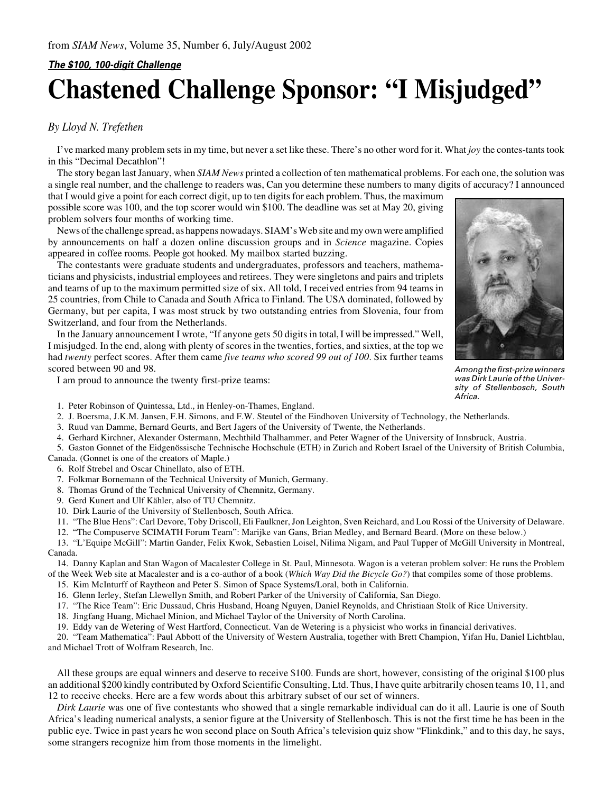## **The \$100, 100-digit Challenge Chastened Challenge Sponsor: "I Misjudged"**

## *By Lloyd N. Trefethen*

I've marked many problem sets in my time, but never a set like these. There's no other word for it. What *joy* the contes-tants took in this "Decimal Decathlon"!

The story began last January, when *SIAM News* printed a collection of ten mathematical problems. For each one, the solution was a single real number, and the challenge to readers was, Can you determine these numbers to many digits of accuracy? I announced

that I would give a point for each correct digit, up to ten digits for each problem. Thus, the maximum possible score was 100, and the top scorer would win \$100. The deadline was set at May 20, giving problem solvers four months of working time.

News of the challenge spread, as happens nowadays. SIAM's Web site and my own were amplified by announcements on half a dozen online discussion groups and in *Science* magazine. Copies appeared in coffee rooms. People got hooked. My mailbox started buzzing.

The contestants were graduate students and undergraduates, professors and teachers, mathematicians and physicists, industrial employees and retirees. They were singletons and pairs and triplets and teams of up to the maximum permitted size of six. All told, I received entries from 94 teams in 25 countries, from Chile to Canada and South Africa to Finland. The USA dominated, followed by Germany, but per capita, I was most struck by two outstanding entries from Slovenia, four from Switzerland, and four from the Netherlands.

In the January announcement I wrote, "If anyone gets 50 digits in total, I will be impressed." Well, I misjudged. In the end, along with plenty of scores in the twenties, forties, and sixties, at the top we had *twenty* perfect scores. After them came *five teams who scored 99 out of 100*. Six further teams scored between 90 and 98.

I am proud to announce the twenty first-prize teams:



Among the first-prize winners was Dirk Laurie of the University of Stellenbosch, South Africa.

1. Peter Robinson of Quintessa, Ltd., in Henley-on-Thames, England.

- 2. J. Boersma, J.K.M. Jansen, F.H. Simons, and F.W. Steutel of the Eindhoven University of Technology, the Netherlands.
- 3. Ruud van Damme, Bernard Geurts, and Bert Jagers of the University of Twente, the Netherlands.
- 4. Gerhard Kirchner, Alexander Ostermann, Mechthild Thalhammer, and Peter Wagner of the University of Innsbruck, Austria.
- 5. Gaston Gonnet of the Eidgenössische Technische Hochschule (ETH) in Zurich and Robert Israel of the University of British Columbia, Canada. (Gonnet is one of the creators of Maple.)

6. Rolf Strebel and Oscar Chinellato, also of ETH.

- 7. Folkmar Bornemann of the Technical University of Munich, Germany.
- 8. Thomas Grund of the Technical University of Chemnitz, Germany.
- 9. Gerd Kunert and Ulf Kähler, also of TU Chemnitz.
- 10. Dirk Laurie of the University of Stellenbosch, South Africa.
- 11. "The Blue Hens": Carl Devore, Toby Driscoll, Eli Faulkner, Jon Leighton, Sven Reichard, and Lou Rossi of the University of Delaware.
- 12. "The Compuserve SCIMATH Forum Team": Marijke van Gans, Brian Medley, and Bernard Beard. (More on these below.)

13. "L'Equipe McGill": Martin Gander, Felix Kwok, Sebastien Loisel, Nilima Nigam, and Paul Tupper of McGill University in Montreal, Canada.

14. Danny Kaplan and Stan Wagon of Macalester College in St. Paul, Minnesota. Wagon is a veteran problem solver: He runs the Problem of the Week Web site at Macalester and is a co-author of a book (*Which Way Did the Bicycle Go?*) that compiles some of those problems.

15. Kim McInturff of Raytheon and Peter S. Simon of Space Systems/Loral, both in California.

- 16. Glenn Ierley, Stefan Llewellyn Smith, and Robert Parker of the University of California, San Diego.
- 17. "The Rice Team": Eric Dussaud, Chris Husband, Hoang Nguyen, Daniel Reynolds, and Christiaan Stolk of Rice University.
- 18. Jingfang Huang, Michael Minion, and Michael Taylor of the University of North Carolina.

19. Eddy van de Wetering of West Hartford, Connecticut. Van de Wetering is a physicist who works in financial derivatives.

20. "Team Mathematica": Paul Abbott of the University of Western Australia, together with Brett Champion, Yifan Hu, Daniel Lichtblau, and Michael Trott of Wolfram Research, Inc.

All these groups are equal winners and deserve to receive \$100. Funds are short, however, consisting of the original \$100 plus an additional \$200 kindly contributed by Oxford Scientific Consulting, Ltd. Thus, I have quite arbitrarily chosen teams 10, 11, and 12 to receive checks. Here are a few words about this arbitrary subset of our set of winners.

*Dirk Laurie* was one of five contestants who showed that a single remarkable individual can do it all. Laurie is one of South Africa's leading numerical analysts, a senior figure at the University of Stellenbosch. This is not the first time he has been in the public eye. Twice in past years he won second place on South Africa's television quiz show "Flinkdink," and to this day, he says, some strangers recognize him from those moments in the limelight.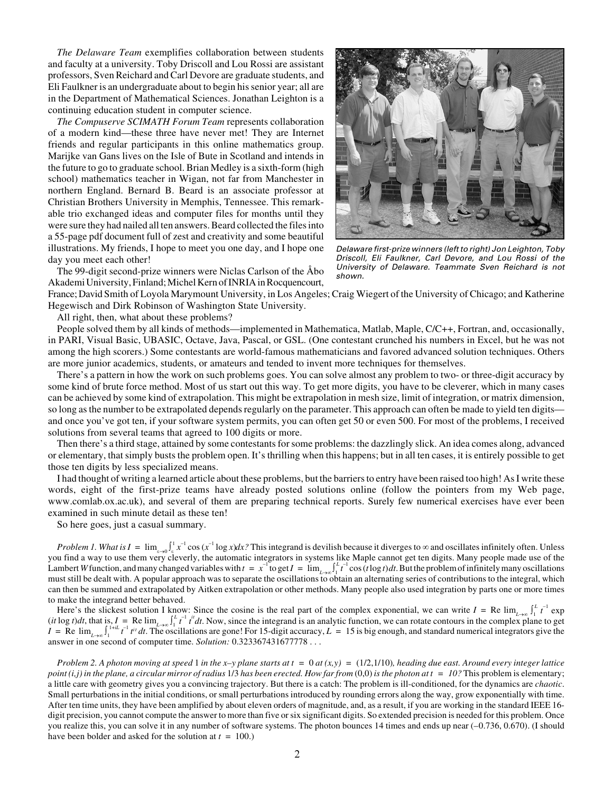*The Delaware Team* exemplifies collaboration between students and faculty at a university. Toby Driscoll and Lou Rossi are assistant professors, Sven Reichard and Carl Devore are graduate students, and Eli Faulkner is an undergraduate about to begin his senior year; all are in the Department of Mathematical Sciences. Jonathan Leighton is a continuing education student in computer science.

*The Compuserve SCIMATH Forum Team* represents collaboration of a modern kind—these three have never met! They are Internet friends and regular participants in this online mathematics group. Marijke van Gans lives on the Isle of Bute in Scotland and intends in the future to go to graduate school. Brian Medley is a sixth-form (high school) mathematics teacher in Wigan, not far from Manchester in northern England. Bernard B. Beard is an associate professor at Christian Brothers University in Memphis, Tennessee. This remarkable trio exchanged ideas and computer files for months until they were sure they had nailed all ten answers. Beard collected the files into a 55-page pdf document full of zest and creativity and some beautiful illustrations. My friends, I hope to meet you one day, and I hope one day you meet each other!



Delaware first-prize winners (left to right) Jon Leighton, Toby Driscoll, Eli Faulkner, Carl Devore, and Lou Rossi of the University of Delaware. Teammate Sven Reichard is not shown.

The 99-digit second-prize winners were Niclas Carlson of the Åbo Akademi University, Finland; Michel Kern of INRIA in Rocquencourt,

France; David Smith of Loyola Marymount University, in Los Angeles; Craig Wiegert of the University of Chicago; and Katherine Hegewisch and Dirk Robinson of Washington State University.

All right, then, what about these problems?

People solved them by all kinds of methods—implemented in Mathematica, Matlab, Maple, C/C++, Fortran, and, occasionally, in PARI, Visual Basic, UBASIC, Octave, Java, Pascal, or GSL. (One contestant crunched his numbers in Excel, but he was not among the high scorers.) Some contestants are world-famous mathematicians and favored advanced solution techniques. Others are more junior academics, students, or amateurs and tended to invent more techniques for themselves.

There's a pattern in how the work on such problems goes. You can solve almost any problem to two- or three-digit accuracy by some kind of brute force method. Most of us start out this way. To get more digits, you have to be cleverer, which in many cases can be achieved by some kind of extrapolation. This might be extrapolation in mesh size, limit of integration, or matrix dimension, so long as the number to be extrapolated depends regularly on the parameter. This approach can often be made to yield ten digits and once you've got ten, if your software system permits, you can often get 50 or even 500. For most of the problems, I received solutions from several teams that agreed to 100 digits or more.

Then there's a third stage, attained by some contestants for some problems: the dazzlingly slick. An idea comes along, advanced or elementary, that simply busts the problem open. It's thrilling when this happens; but in all ten cases, it is entirely possible to get those ten digits by less specialized means.

I had thought of writing a learned article about these problems, but the barriers to entry have been raised too high! As I write these words, eight of the first-prize teams have already posted solutions online (follow the pointers from my Web page, www.comlab.ox.ac.uk), and several of them are preparing technical reports. Surely few numerical exercises have ever been examined in such minute detail as these ten!

So here goes, just a casual summary.

*Problem 1. What is*  $I = \lim_{\varepsilon \to 0} \int_{\varepsilon}^{1} x^{-1} \cos(x^{-1} \log x) dx$ ? This integrand is devilish because it diverges to  $\infty$  and oscillates infinitely often. Unless you find a way to use them very cleverly, the automatic integrators in systems like Maple cannot get ten digits. Many people made use of the Lambert *W* function, and many changed variables with  $t = x^{-1}$  to get  $I = \lim_{L \to \infty} \int_{1}^{L}$  $\int_{-t}^{L} t^{-1} \cos(t \log t) dt$ . But the problem of infinitely many oscillations must still be dealt with. A popular approach was to separate the oscillations to obtain an alternating series of contributions to the integral, which can then be summed and extrapolated by Aitken extrapolation or other methods. Many people also used integration by parts one or more times to make the integrand better behaved.

Here's the slickest solution I know: Since the cosine is the real part of the complex exponential, we can write  $I = \text{Re }\lim_{L\to\infty} \int_{1}^{L} t^{-1} \exp\left(\frac{L}{L}\right) dt$  $(it \log t)dt$ , that is,  $I = \text{Re}\lim_{t \to \infty} \int_{1}^{t}$  $\int_{t}^{L} t^{-1} t^{it} dt$ . Now, since the integrand is an analytic function, we can rotate contours in the complex plane to get  $I = \text{Re } \lim_{L \to \infty} \int_{1}^{1+it} t^{-1} t^{it} dt$ . The oscillations are gone! For 15-digit accuracy,  $L = 15$  is big enough, and standard numerical integrators give the answer in one second of computer time. *Solution:* 0.323367431677778 . . .

*Problem 2. A photon moving at speed 1 in the x–y plane starts at*  $t = 0$  *at*  $(x, y) = (1/2, 1/10)$ *<i>, heading due east. Around every integer lattice point (i,j) in the plane, a circular mirror of radius 1/3 has been erected. How far from*  $(0,0)$  *is the photon at*  $t = 10$ *? This problem is elementary;* a little care with geometry gives you a convincing trajectory. But there is a catch: The problem is ill-conditioned, for the dynamics are *chaotic*. Small perturbations in the initial conditions, or small perturbations introduced by rounding errors along the way, grow exponentially with time. After ten time units, they have been amplified by about eleven orders of magnitude, and, as a result, if you are working in the standard IEEE 16 digit precision, you cannot compute the answer to more than five or six significant digits. So extended precision is needed for this problem. Once you realize this, you can solve it in any number of software systems. The photon bounces 14 times and ends up near (–0.736, 0.670). (I should have been bolder and asked for the solution at *t* = 100.)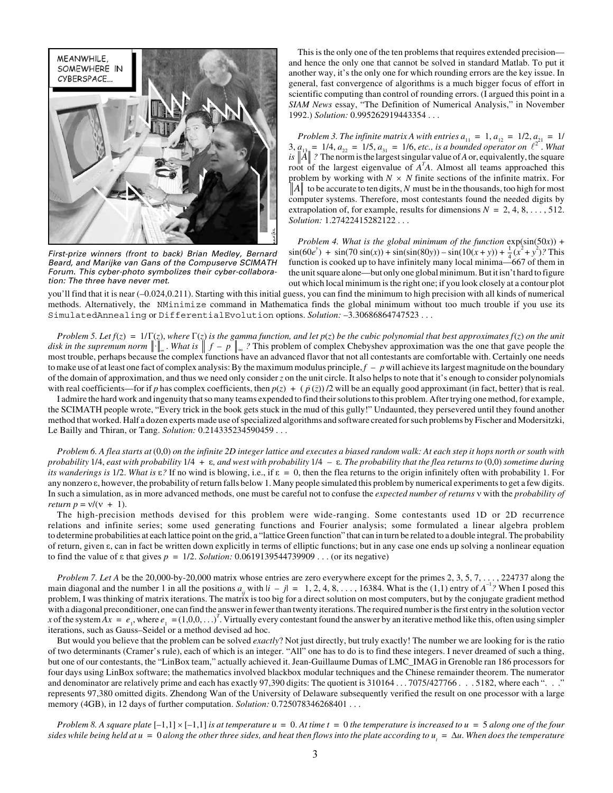

First-prize winners (front to back) Brian Medley, Bernard Beard, and Marijke van Gans of the Compuserve SCIMATH Forum. This cyber-photo symbolizes their cyber-collaboration: The three have never met.

and hence the only one that cannot be solved in standard Matlab. To put it another way, it's the only one for which rounding errors are the key issue. In general, fast convergence of algorithms is a much bigger focus of effort in scientific computing than control of rounding errors. (I argued this point in a *SIAM News* essay, "The Definition of Numerical Analysis," in November 1992.) *Solution:* 0.995262919443354 . . .

This is the only one of the ten problems that requires extended precision-<br>This is the only one of the ten problems that requires extended precision<br>for the ready space. The first only one for which rounding errors are fi *Problem 3. The infinite matrix A with entries*  $a_{11} = 1, a_{12} = 1/2, a_{21} = 1/2$  $3, a_{13} = 1/4, a_{22} = 1/5, a_{31} = 1/6, etc.,$  *is a bounded operator on*  $\ell^{2^2}$ . *What* is  $\|\vec{A}\|$  ? The norm is the largest singular value of *A* or, equivalently, the square root of the largest eigenvalue of  $A<sup>T</sup>A$ . Almost all teams approached this problem by working with  $N \times N$  finite sections of the infinite matrix. For  $||A||$  to be accurate to ten digits, N must be in the thousands, too high for most computer systems. Therefore, most contestants found the needed digits by extrapolation of, for example, results for dimensions  $N = 2, 4, 8, \ldots, 512$ . *Solution:* 1.27422415282122 . . .

*Problem 4. What is the global minimum of the function*  $exp(sin(50x))$  +  $\sin(60e^y) + \sin(70\sin(x)) + \sin(\sin(80y)) - \sin(10(x+y)) + \frac{1}{4}(x^2 + y^2)$ ? This function is cooked up to have infinitely many local minima— $667$  of them in the unit square alone—but only one global minimum. But it isn't hard to figure out which local minimum is the right one; if you look closely at a contour plot

you'll find that it is near (–0.024,0.211). Starting with this initial guess, you can find the minimum to high precision with all kinds of numerical methods. Alternatively, the NMinimize command in Mathematica finds the global minimum without too much trouble if you use its SimulatedAnnealing or DifferentialEvolution options. *Solution:* –3.30686864747523 . . .

Problem 5. Let  $f(z) = 1/\Gamma(z)$ , where  $\Gamma(z)$  is the gamma function, and let  $p(z)$  be the cubic polynomial that best approximates  $f(z)$  on the unit *disk in the supremum norm*  $\|\cdot\|_{\infty}$ . *What is*  $\| f - p \|_{\infty}$ ? This problem of complex Chebyshev approximation was the one that gave people the most trouble, perhaps because the complex functions have an advanced flavor that not all contestants are comfortable with. Certainly one needs to make use of at least one fact of complex analysis: By the maximum modulus principle,  $f - p$  will achieve its largest magnitude on the boundary of the domain of approximation, and thus we need only consider *z* on the unit circle. It also helps to note that it's enough to consider polynomials with real coefficients—for if *p* has complex coefficients, then  $p(z) + (p(\overline{z}))/2$  will be an equally good approximant (in fact, better) that is real.

I admire the hard work and ingenuity that so many teams expended to find their solutions to this problem. After trying one method, for example, the SCIMATH people wrote, "Every trick in the book gets stuck in the mud of this gully!" Undaunted, they persevered until they found another method that worked. Half a dozen experts made use of specialized algorithms and software created for such problems by Fischer and Modersitzki, Le Bailly and Thiran, or Tang. *Solution:* 0.214335234590459 . . .

*Problem 6. A flea starts at* (0,0) *on the infinite 2D integer lattice and executes a biased random walk: At each step it hops north or south with probability*  $1/4$ *, east with probability*  $1/4 + \varepsilon$ *, and west with probability*  $1/4 - \varepsilon$ *. The probability that the flea returns to* (0,0) *sometime during its wanderings is* 1/2. What is  $\varepsilon$ ? If no wind is blowing, i.e., if  $\varepsilon = 0$ , then the flea returns to the origin infinitely often with probability 1. For any nonzero  $\varepsilon$ , however, the probability of return falls below 1. Many people simulated this problem by numerical experiments to get a few digits. In such a simulation, as in more advanced methods, one must be careful not to confuse the *expected number of returns*  with the *probability of return*  $p = v/(v + 1)$ .

The high-precision methods devised for this problem were wide-ranging. Some contestants used 1D or 2D recurrence relations and infinite series; some used generating functions and Fourier analysis; some formulated a linear algebra problem to determine probabilities at each lattice point on the grid, a "lattice Green function" that can in turn be related to a double integral. The probability of return, given  $\varepsilon$ , can in fact be written down explicitly in terms of elliptic functions; but in any case one ends up solving a nonlinear equation to find the value of  $\varepsilon$  that gives  $p = 1/2$ . *Solution:* 0.0619139544739909 . . . (or its negative)

*Problem 7. Let A* be the 20,000-by-20,000 matrix whose entries are zero everywhere except for the primes 2, 3, 5, 7, . . . , 224737 along the main diagonal and the number 1 in all the positions  $a_{ij}$  with  $|i - j| = 1, 2, 4, 8, \ldots, 16384$ . What is the (1,1) entry of  $A^{-1}$ ? When I posed this problem, I was thinking of matrix iterations. The matrix is too big for a direct solution on most computers, but by the conjugate gradient method with a diagonal preconditioner, one can find the answer in fewer than twenty iterations. The required number is the first entry in the solution vector x of the system  $Ax = e_1$ , where  $e_1 = (1,0,0,\dots)^T$ . Virtually every contestant found the answer by an iterative method like this, often using simpler iterations, such as Gauss–Seidel or a method devised ad hoc.

But would you believe that the problem can be solved *exactly*? Not just directly, but truly exactly! The number we are looking for is the ratio of two determinants (Cramer's rule), each of which is an integer. "All" one has to do is to find these integers. I never dreamed of such a thing, but one of our contestants, the "LinBox team," actually achieved it. Jean-Guillaume Dumas of LMC\_IMAG in Grenoble ran 186 processors for four days using LinBox software; the mathematics involved blackbox modular techniques and the Chinese remainder theorem. The numerator and denominator are relatively prime and each has exactly 97,390 digits: The quotient is 310164 . . . 7075/427766 . . . 5182, where each ". . . " represents 97,380 omitted digits. Zhendong Wan of the University of Delaware subsequently verified the result on one processor with a large memory (4GB), in 12 days of further computation. *Solution:* 0.725078346268401 . . .

*Problem 8. A square plate*  $[-1,1] \times [-1,1]$  *is at temperature*  $u = 0$ . At time  $t = 0$  the temperature is increased to  $u = 5$  along one of the four *sides while being held at*  $u = 0$  *along the other three sides, and heat then flows into the plate according to*  $u_i = \Delta u$ . When does the temperature